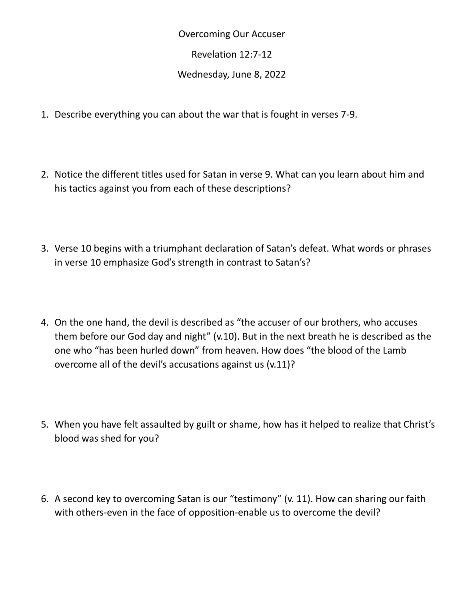Overcoming Our Accuser

Revelation 12:7-12

Wednesday, June 8, 2022

- 1. Describe everything you can about the war that is fought in verses 7-9.
- 2. Notice the different titles used for Satan in verse 9. What can you learn about him and his tactics against you from each of these descriptions?
- 3. Verse 10 begins with a triumphant declaration of Satan's defeat. What words or phrases in verse 10 emphasize God's strength in contrast to Satan's?
- 4. On the one hand, the devil is described as "the accuser of our brothers, who accuses them before our God day and night" (v.10). But in the next breath he is described as the one who "has been hurled down" from heaven. How does "the blood of the Lamb overcome all of the devil's accusations against us (v.11)?
- 5. When you have felt assaulted by guilt or shame, how has it helped to realize that Christ's blood was shed for you?
- 6. A second key to overcoming Satan is our "testimony" (v. 11). How can sharing our faith with others-even in the face of opposition-enable us to overcome the devil?